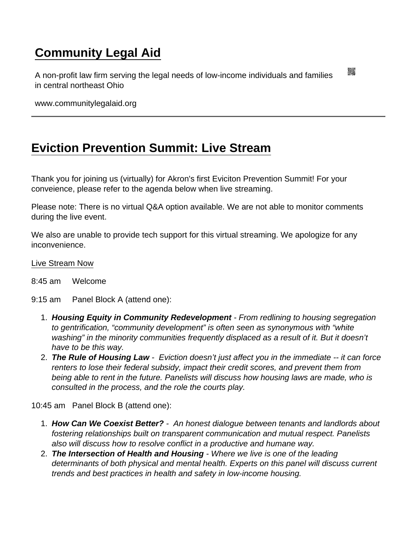## [Community Legal Aid](https://www.communitylegalaid.org/)

A non-profit law firm serving the legal needs of low-income individuals and families in central northeast Ohio

www.communitylegalaid.org

## [Eviction Prevention Summit: Live Stream](https://www.communitylegalaid.org/evictionsummitlivestream)

Thank you for joining us (virtually) for Akron's first Eviciton Prevention Summit! For your conveience, please refer to the agenda below when live streaming.

Please note: There is no virtual Q&A option available. We are not able to monitor comments during the live event.

We also are unable to provide tech support for this virtual streaming. We apologize for any inconvenience.

## [Live Stream Now](https://www.youtube.com/channel/UC78_E2WWTX5fkZ8vaYZql1Q)

- 8:45 am Welcome
- 9:15 am Panel Block A (attend one):
	- 1. Housing Equity in Community Redevelopment From redlining to housing segregation to gentrification, "community development" is often seen as synonymous with "white washing" in the minority communities frequently displaced as a result of it. But it doesn't have to be this way.
	- 2. The Rule of Housing Law Eviction doesn't just affect you in the immediate -- it can force renters to lose their federal subsidy, impact their credit scores, and prevent them from being able to rent in the future. Panelists will discuss how housing laws are made, who is consulted in the process, and the role the courts play.

10:45 am Panel Block B (attend one):

- 1. How Can We Coexist Better? An honest dialogue between tenants and landlords about fostering relationships built on transparent communication and mutual respect. Panelists also will discuss how to resolve conflict in a productive and humane way.
- 2. The Intersection of Health and Housing Where we live is one of the leading determinants of both physical and mental health. Experts on this panel will discuss current trends and best practices in health and safety in low-income housing.